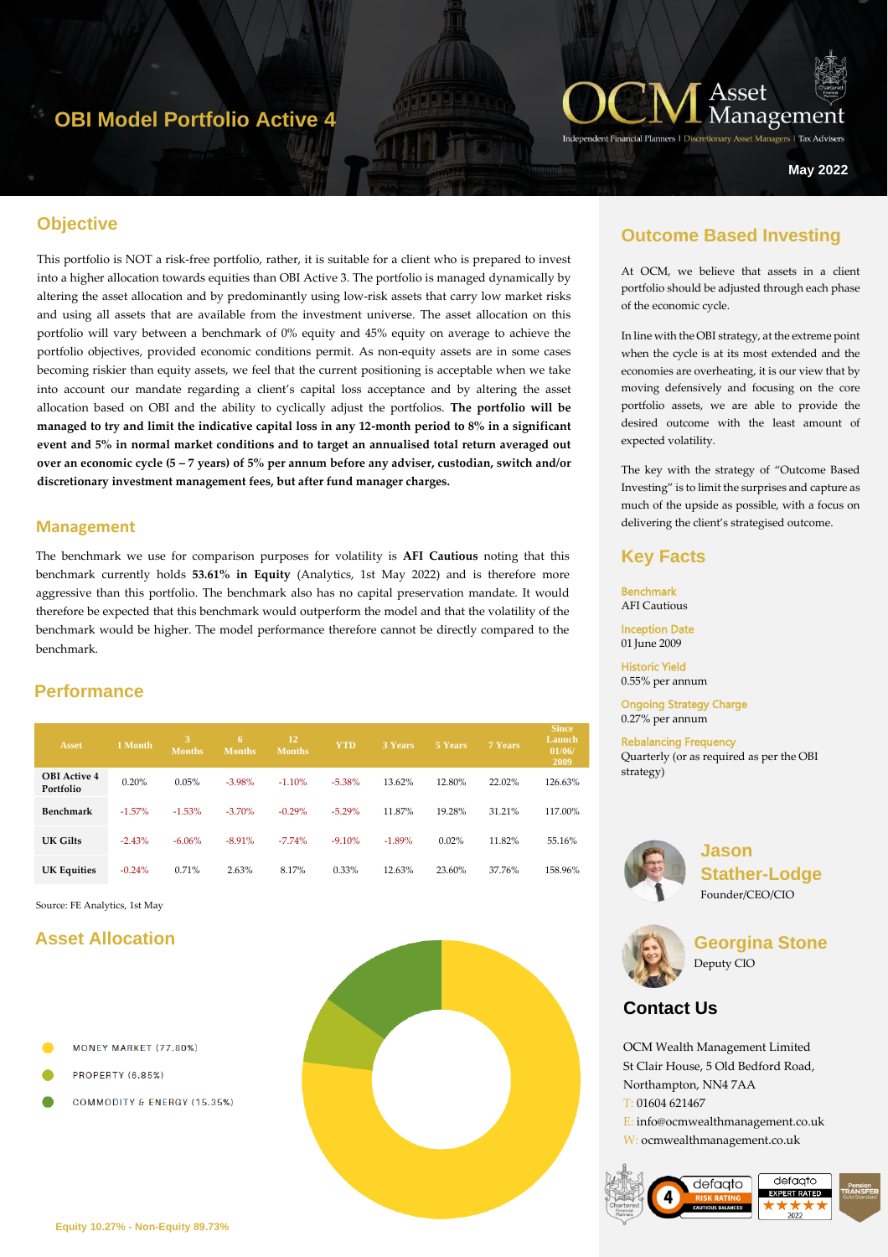# **OBI Model Portfolio Active 4**



**Managers | Tax Advise** 

**May 2022**

## **Objective**

This portfolio is NOT a risk-free portfolio, rather, it is suitable for a client who is prepared to invest into a higher allocation towards equities than OBI Active 3. The portfolio is managed dynamically by altering the asset allocation and by predominantly using low-risk assets that carry low market risks and using all assets that are available from the investment universe. The asset allocation on this portfolio will vary between a benchmark of 0% equity and 45% equity on average to achieve the portfolio objectives, provided economic conditions permit. As non-equity assets are in some cases becoming riskier than equity assets, we feel that the current positioning is acceptable when we take into account our mandate regarding a client's capital loss acceptance and by altering the asset allocation based on OBI and the ability to cyclically adjust the portfolios. **The portfolio will be managed to try and limit the indicative capital loss in any 12-month period to 8% in a significant event and 5% in normal market conditions and to target an annualised total return averaged out over an economic cycle (5 – 7 years) of 5% per annum before any adviser, custodian, switch and/or discretionary investment management fees, but after fund manager charges.**

### **Management**

The benchmark we use for comparison purposes for volatility is **AFI Cautious** noting that this benchmark currently holds **53.61% in Equity** (Analytics, 1st May 2022) and is therefore more aggressive than this portfolio. The benchmark also has no capital preservation mandate. It would therefore be expected that this benchmark would outperform the model and that the volatility of the benchmark would be higher. The model performance therefore cannot be directly compared to the benchmark.

# **Performance**

| Asset                            | 1 Month   | <b>Months</b> | 6<br><b>Months</b> | <sup>12</sup><br><b>Months</b> | <b>YTD</b> | <b>3 Years</b> | 5 Years | 7 Years | <b>Since</b><br>Launch<br>01/06/<br>2009 |
|----------------------------------|-----------|---------------|--------------------|--------------------------------|------------|----------------|---------|---------|------------------------------------------|
| <b>OBI</b> Active 4<br>Portfolio | 0.20%     | 0.05%         | $-3.98%$           | $-1.10%$                       | $-5.38%$   | 13.62%         | 12.80%  | 22.02%  | 126.63%                                  |
| Benchmark                        | $-1.57\%$ | $-1.53%$      | $-3.70%$           | $-0.29%$                       | $-5.29%$   | 11.87%         | 19.28%  | 31.21%  | 117.00%                                  |
| UK Gilts                         | $-2.43%$  | $-6.06%$      | $-8.91%$           | $-7.74%$                       | $-9.10%$   | $-1.89%$       | 0.02%   | 11.82%  | 55.16%                                   |
| <b>UK Equities</b>               | $-0.24%$  | 0.71%         | 2.63%              | 8.17%                          | 0.33%      | 12.63%         | 23.60%  | 37.76%  | 158.96%                                  |

Source: FE Analytics, 1st May

## **Asset Allocation**

- **MONEY MARKET (77.80%)**
- **PROPERTY (6.85%)**
- **COMMODITY & ENERGY (15.35%)**



## **Outcome Based Investing**

At OCM, we believe that assets in a client portfolio should be adjusted through each phase of the economic cycle.

In line with the OBI strategy, at the extreme point when the cycle is at its most extended and the economies are overheating, it is our view that by moving defensively and focusing on the core portfolio assets, we are able to provide the desired outcome with the least amount of expected volatility.

The key with the strategy of "Outcome Based Investing" is to limit the surprises and capture as much of the upside as possible, with a focus on delivering the client's strategised outcome.

## **Key Facts**

Benchmark AFI Cautious

Inception Date 01 June 2009

Historic Yield 0.55% per annum

Ongoing Strategy Charge 0.27% per annum

Rebalancing Frequency Quarterly (or as required as per the OBI strategy)



**Jason Stather-Lodge** Founder/CEO/CIO



**Georgina Stone** Deputy CIO

# **Contact Us**

OCM Wealth Management Limited St Clair House, 5 Old Bedford Road, Northampton, NN4 7AA T: 01604 621467 E: info@ocmwealthmanagement.co.uk W: ocmwealthmanagement.co.uk